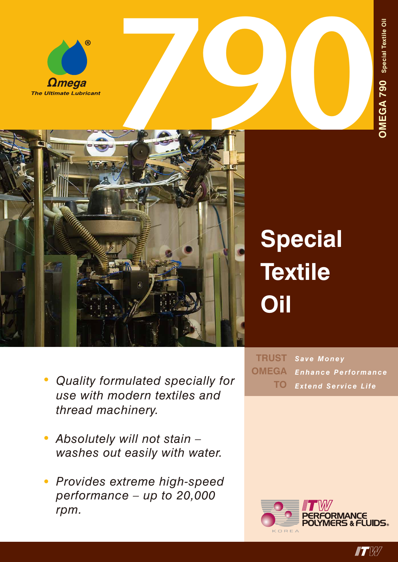



## **Special Textile Oil**

- *• Quality formulated specially for use with modern textiles and thread machinery.*
- *• Absolutely will not stain – washes out easily with water.*
- *• Provides extreme high-speed performance – up to 20,000 rpm.*

*Save Money Enhance Performance Extend Service Life* **TRUST OMEGA TO**